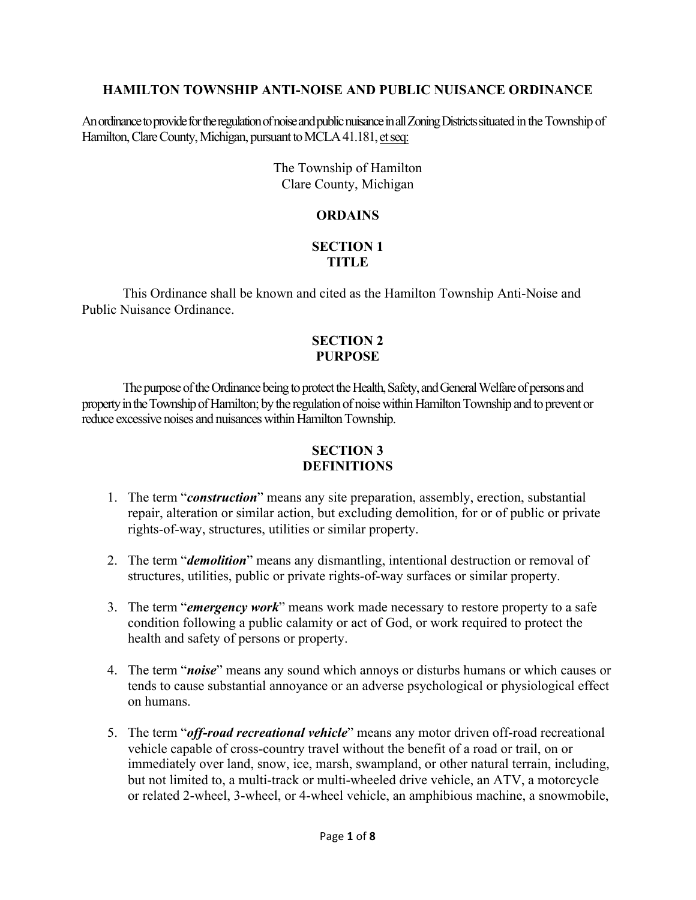## **HAMILTON TOWNSHIP ANTI-NOISE AND PUBLIC NUISANCE ORDINANCE**

An ordinance to provide for the regulation of noise and public nuisance in all Zoning Districts situated in the Township of Hamilton, Clare County, Michigan, pursuant to MCLA 41.181, et seq:

> The Township of Hamilton Clare County, Michigan

# **ORDAINS**

## **SECTION 1 TITLE**

This Ordinance shall be known and cited as the Hamilton Township Anti-Noise and Public Nuisance Ordinance.

#### **SECTION 2 PURPOSE**

The purpose of the Ordinance being to protect the Health, Safety, and General Welfare of persons and property in the Township of Hamilton; by the regulation of noise within Hamilton Township and to prevent or reduce excessive noises and nuisances within Hamilton Township.

# **SECTION 3 DEFINITIONS**

- 1. The term "*construction*" means any site preparation, assembly, erection, substantial repair, alteration or similar action, but excluding demolition, for or of public or private rights-of-way, structures, utilities or similar property.
- 2. The term "*demolition*" means any dismantling, intentional destruction or removal of structures, utilities, public or private rights-of-way surfaces or similar property.
- 3. The term "*emergency work*" means work made necessary to restore property to a safe condition following a public calamity or act of God, or work required to protect the health and safety of persons or property.
- 4. The term "*noise*" means any sound which annoys or disturbs humans or which causes or tends to cause substantial annoyance or an adverse psychological or physiological effect on humans.
- 5. The term "*off-road recreational vehicle*" means any motor driven off-road recreational vehicle capable of cross-country travel without the benefit of a road or trail, on or immediately over land, snow, ice, marsh, swampland, or other natural terrain, including, but not limited to, a multi-track or multi-wheeled drive vehicle, an ATV, a motorcycle or related 2-wheel, 3-wheel, or 4-wheel vehicle, an amphibious machine, a snowmobile,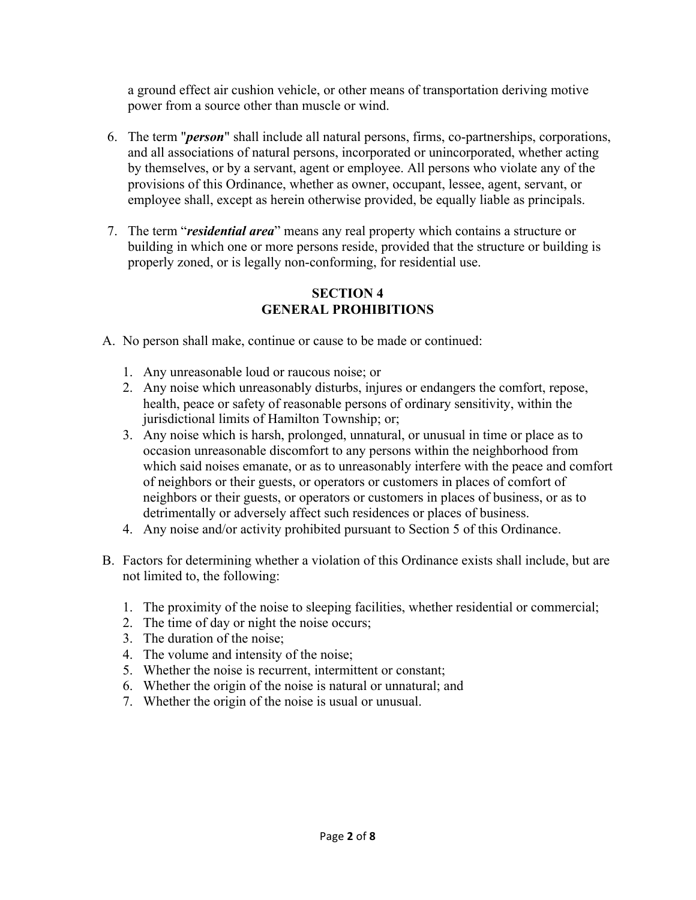a ground effect air cushion vehicle, or other means of transportation deriving motive power from a source other than muscle or wind.

- 6. The term "*person*" shall include all natural persons, firms, co-partnerships, corporations, and all associations of natural persons, incorporated or unincorporated, whether acting by themselves, or by a servant, agent or employee. All persons who violate any of the provisions of this Ordinance, whether as owner, occupant, lessee, agent, servant, or employee shall, except as herein otherwise provided, be equally liable as principals.
- 7. The term "*residential area*" means any real property which contains a structure or building in which one or more persons reside, provided that the structure or building is properly zoned, or is legally non-conforming, for residential use.

# **SECTION 4 GENERAL PROHIBITIONS**

- A. No person shall make, continue or cause to be made or continued:
	- 1. Any unreasonable loud or raucous noise; or
	- 2. Any noise which unreasonably disturbs, injures or endangers the comfort, repose, health, peace or safety of reasonable persons of ordinary sensitivity, within the jurisdictional limits of Hamilton Township; or;
	- 3. Any noise which is harsh, prolonged, unnatural, or unusual in time or place as to occasion unreasonable discomfort to any persons within the neighborhood from which said noises emanate, or as to unreasonably interfere with the peace and comfort of neighbors or their guests, or operators or customers in places of comfort of neighbors or their guests, or operators or customers in places of business, or as to detrimentally or adversely affect such residences or places of business.
	- 4. Any noise and/or activity prohibited pursuant to Section 5 of this Ordinance.
- B. Factors for determining whether a violation of this Ordinance exists shall include, but are not limited to, the following:
	- 1. The proximity of the noise to sleeping facilities, whether residential or commercial;
	- 2. The time of day or night the noise occurs;
	- 3. The duration of the noise;
	- 4. The volume and intensity of the noise;
	- 5. Whether the noise is recurrent, intermittent or constant;
	- 6. Whether the origin of the noise is natural or unnatural; and
	- 7. Whether the origin of the noise is usual or unusual.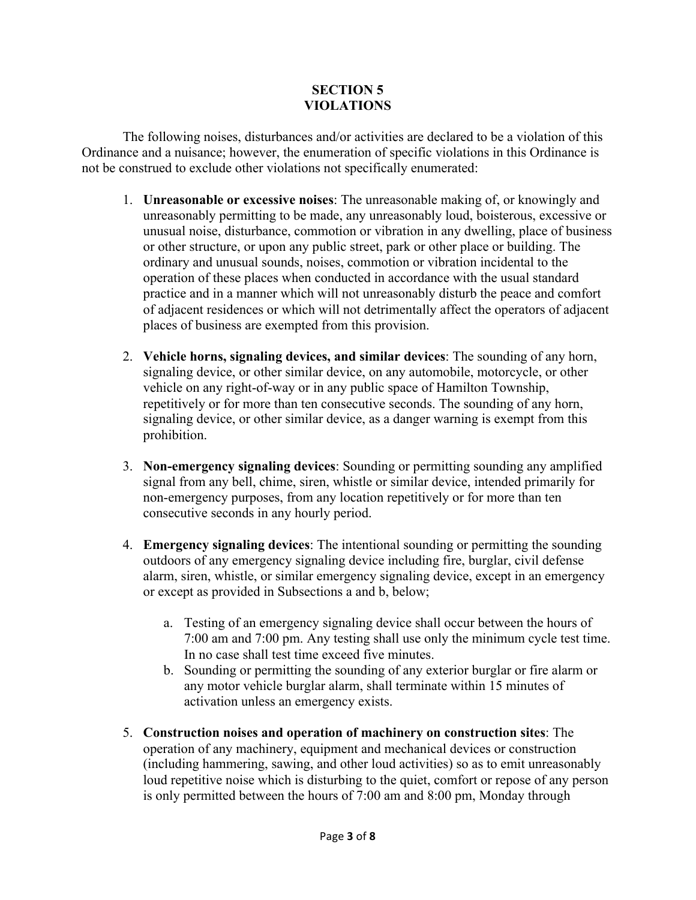# **SECTION 5 VIOLATIONS**

The following noises, disturbances and/or activities are declared to be a violation of this Ordinance and a nuisance; however, the enumeration of specific violations in this Ordinance is not be construed to exclude other violations not specifically enumerated:

- 1. **Unreasonable or excessive noises**: The unreasonable making of, or knowingly and unreasonably permitting to be made, any unreasonably loud, boisterous, excessive or unusual noise, disturbance, commotion or vibration in any dwelling, place of business or other structure, or upon any public street, park or other place or building. The ordinary and unusual sounds, noises, commotion or vibration incidental to the operation of these places when conducted in accordance with the usual standard practice and in a manner which will not unreasonably disturb the peace and comfort of adjacent residences or which will not detrimentally affect the operators of adjacent places of business are exempted from this provision.
- 2. **Vehicle horns, signaling devices, and similar devices**: The sounding of any horn, signaling device, or other similar device, on any automobile, motorcycle, or other vehicle on any right-of-way or in any public space of Hamilton Township, repetitively or for more than ten consecutive seconds. The sounding of any horn, signaling device, or other similar device, as a danger warning is exempt from this prohibition.
- 3. **Non-emergency signaling devices**: Sounding or permitting sounding any amplified signal from any bell, chime, siren, whistle or similar device, intended primarily for non-emergency purposes, from any location repetitively or for more than ten consecutive seconds in any hourly period.
- 4. **Emergency signaling devices**: The intentional sounding or permitting the sounding outdoors of any emergency signaling device including fire, burglar, civil defense alarm, siren, whistle, or similar emergency signaling device, except in an emergency or except as provided in Subsections a and b, below;
	- a. Testing of an emergency signaling device shall occur between the hours of 7:00 am and 7:00 pm. Any testing shall use only the minimum cycle test time. In no case shall test time exceed five minutes.
	- b. Sounding or permitting the sounding of any exterior burglar or fire alarm or any motor vehicle burglar alarm, shall terminate within 15 minutes of activation unless an emergency exists.
- 5. **Construction noises and operation of machinery on construction sites**: The operation of any machinery, equipment and mechanical devices or construction (including hammering, sawing, and other loud activities) so as to emit unreasonably loud repetitive noise which is disturbing to the quiet, comfort or repose of any person is only permitted between the hours of 7:00 am and 8:00 pm, Monday through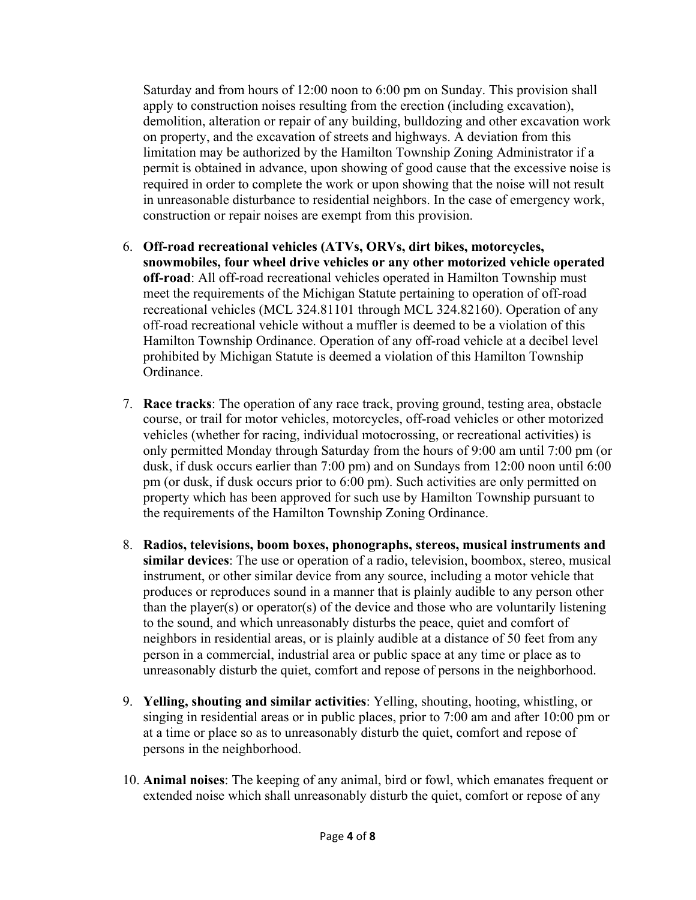Saturday and from hours of 12:00 noon to 6:00 pm on Sunday. This provision shall apply to construction noises resulting from the erection (including excavation), demolition, alteration or repair of any building, bulldozing and other excavation work on property, and the excavation of streets and highways. A deviation from this limitation may be authorized by the Hamilton Township Zoning Administrator if a permit is obtained in advance, upon showing of good cause that the excessive noise is required in order to complete the work or upon showing that the noise will not result in unreasonable disturbance to residential neighbors. In the case of emergency work, construction or repair noises are exempt from this provision.

- 6. **Off-road recreational vehicles (ATVs, ORVs, dirt bikes, motorcycles, snowmobiles, four wheel drive vehicles or any other motorized vehicle operated off-road**: All off-road recreational vehicles operated in Hamilton Township must meet the requirements of the Michigan Statute pertaining to operation of off-road recreational vehicles (MCL 324.81101 through MCL 324.82160). Operation of any off-road recreational vehicle without a muffler is deemed to be a violation of this Hamilton Township Ordinance. Operation of any off-road vehicle at a decibel level prohibited by Michigan Statute is deemed a violation of this Hamilton Township Ordinance.
- 7. **Race tracks**: The operation of any race track, proving ground, testing area, obstacle course, or trail for motor vehicles, motorcycles, off-road vehicles or other motorized vehicles (whether for racing, individual motocrossing, or recreational activities) is only permitted Monday through Saturday from the hours of 9:00 am until 7:00 pm (or dusk, if dusk occurs earlier than 7:00 pm) and on Sundays from 12:00 noon until 6:00 pm (or dusk, if dusk occurs prior to 6:00 pm). Such activities are only permitted on property which has been approved for such use by Hamilton Township pursuant to the requirements of the Hamilton Township Zoning Ordinance.
- 8. **Radios, televisions, boom boxes, phonographs, stereos, musical instruments and similar devices**: The use or operation of a radio, television, boombox, stereo, musical instrument, or other similar device from any source, including a motor vehicle that produces or reproduces sound in a manner that is plainly audible to any person other than the player(s) or operator(s) of the device and those who are voluntarily listening to the sound, and which unreasonably disturbs the peace, quiet and comfort of neighbors in residential areas, or is plainly audible at a distance of 50 feet from any person in a commercial, industrial area or public space at any time or place as to unreasonably disturb the quiet, comfort and repose of persons in the neighborhood.
- 9. **Yelling, shouting and similar activities**: Yelling, shouting, hooting, whistling, or singing in residential areas or in public places, prior to 7:00 am and after 10:00 pm or at a time or place so as to unreasonably disturb the quiet, comfort and repose of persons in the neighborhood.
- 10. **Animal noises**: The keeping of any animal, bird or fowl, which emanates frequent or extended noise which shall unreasonably disturb the quiet, comfort or repose of any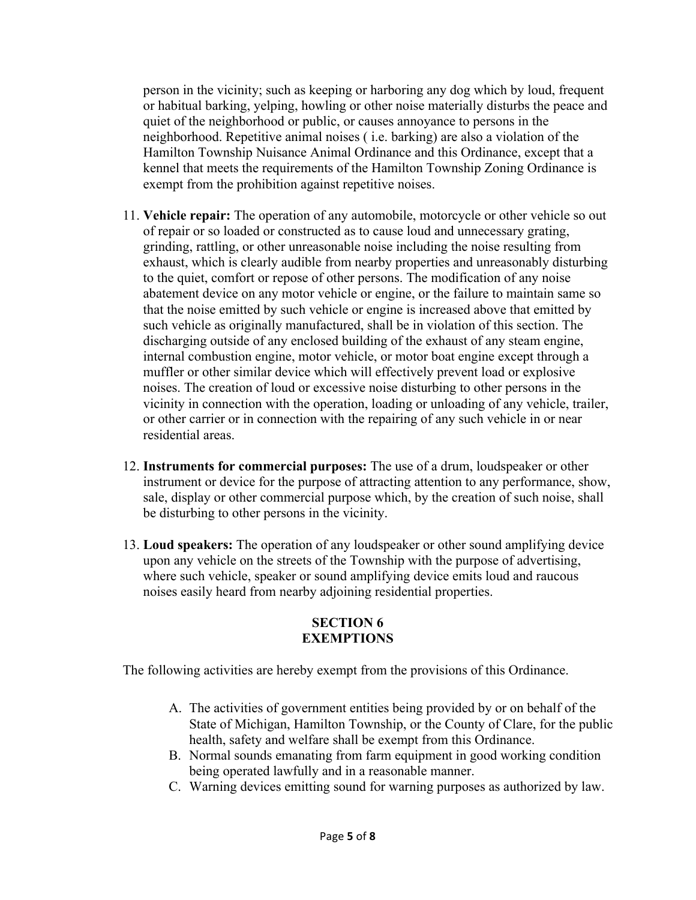person in the vicinity; such as keeping or harboring any dog which by loud, frequent or habitual barking, yelping, howling or other noise materially disturbs the peace and quiet of the neighborhood or public, or causes annoyance to persons in the neighborhood. Repetitive animal noises ( i.e. barking) are also a violation of the Hamilton Township Nuisance Animal Ordinance and this Ordinance, except that a kennel that meets the requirements of the Hamilton Township Zoning Ordinance is exempt from the prohibition against repetitive noises.

- 11. **Vehicle repair:** The operation of any automobile, motorcycle or other vehicle so out of repair or so loaded or constructed as to cause loud and unnecessary grating, grinding, rattling, or other unreasonable noise including the noise resulting from exhaust, which is clearly audible from nearby properties and unreasonably disturbing to the quiet, comfort or repose of other persons. The modification of any noise abatement device on any motor vehicle or engine, or the failure to maintain same so that the noise emitted by such vehicle or engine is increased above that emitted by such vehicle as originally manufactured, shall be in violation of this section. The discharging outside of any enclosed building of the exhaust of any steam engine, internal combustion engine, motor vehicle, or motor boat engine except through a muffler or other similar device which will effectively prevent load or explosive noises. The creation of loud or excessive noise disturbing to other persons in the vicinity in connection with the operation, loading or unloading of any vehicle, trailer, or other carrier or in connection with the repairing of any such vehicle in or near residential areas.
- 12. **Instruments for commercial purposes:** The use of a drum, loudspeaker or other instrument or device for the purpose of attracting attention to any performance, show, sale, display or other commercial purpose which, by the creation of such noise, shall be disturbing to other persons in the vicinity.
- 13. **Loud speakers:** The operation of any loudspeaker or other sound amplifying device upon any vehicle on the streets of the Township with the purpose of advertising, where such vehicle, speaker or sound amplifying device emits loud and raucous noises easily heard from nearby adjoining residential properties.

## **SECTION 6 EXEMPTIONS**

The following activities are hereby exempt from the provisions of this Ordinance.

- A. The activities of government entities being provided by or on behalf of the State of Michigan, Hamilton Township, or the County of Clare, for the public health, safety and welfare shall be exempt from this Ordinance.
- B. Normal sounds emanating from farm equipment in good working condition being operated lawfully and in a reasonable manner.
- C. Warning devices emitting sound for warning purposes as authorized by law.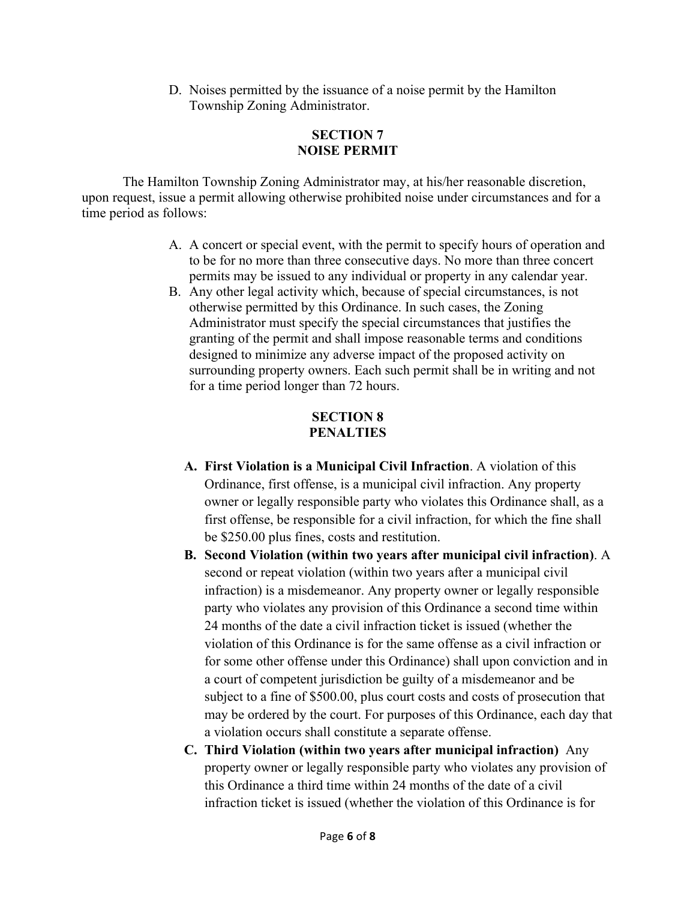D. Noises permitted by the issuance of a noise permit by the Hamilton Township Zoning Administrator.

#### **SECTION 7 NOISE PERMIT**

The Hamilton Township Zoning Administrator may, at his/her reasonable discretion, upon request, issue a permit allowing otherwise prohibited noise under circumstances and for a time period as follows:

- A. A concert or special event, with the permit to specify hours of operation and to be for no more than three consecutive days. No more than three concert permits may be issued to any individual or property in any calendar year.
- B. Any other legal activity which, because of special circumstances, is not otherwise permitted by this Ordinance. In such cases, the Zoning Administrator must specify the special circumstances that justifies the granting of the permit and shall impose reasonable terms and conditions designed to minimize any adverse impact of the proposed activity on surrounding property owners. Each such permit shall be in writing and not for a time period longer than 72 hours.

## **SECTION 8 PENALTIES**

- **A. First Violation is a Municipal Civil Infraction**. A violation of this Ordinance, first offense, is a municipal civil infraction. Any property owner or legally responsible party who violates this Ordinance shall, as a first offense, be responsible for a civil infraction, for which the fine shall be \$250.00 plus fines, costs and restitution.
- **B. Second Violation (within two years after municipal civil infraction)**. A second or repeat violation (within two years after a municipal civil infraction) is a misdemeanor. Any property owner or legally responsible party who violates any provision of this Ordinance a second time within 24 months of the date a civil infraction ticket is issued (whether the violation of this Ordinance is for the same offense as a civil infraction or for some other offense under this Ordinance) shall upon conviction and in a court of competent jurisdiction be guilty of a misdemeanor and be subject to a fine of \$500.00, plus court costs and costs of prosecution that may be ordered by the court. For purposes of this Ordinance, each day that a violation occurs shall constitute a separate offense.
- **C. Third Violation (within two years after municipal infraction)** Any property owner or legally responsible party who violates any provision of this Ordinance a third time within 24 months of the date of a civil infraction ticket is issued (whether the violation of this Ordinance is for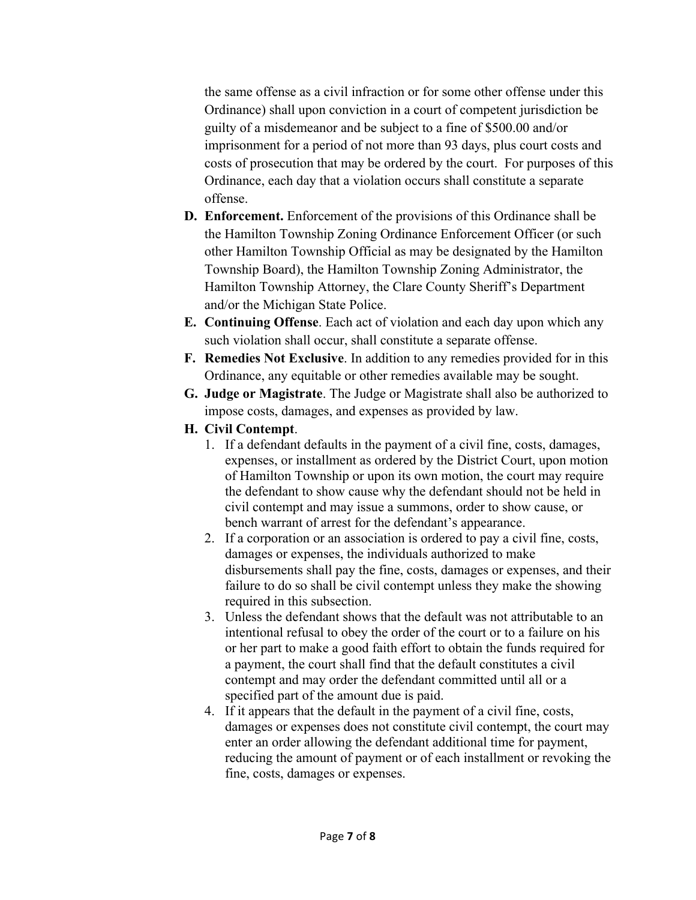the same offense as a civil infraction or for some other offense under this Ordinance) shall upon conviction in a court of competent jurisdiction be guilty of a misdemeanor and be subject to a fine of \$500.00 and/or imprisonment for a period of not more than 93 days, plus court costs and costs of prosecution that may be ordered by the court. For purposes of this Ordinance, each day that a violation occurs shall constitute a separate offense.

- **D. Enforcement.** Enforcement of the provisions of this Ordinance shall be the Hamilton Township Zoning Ordinance Enforcement Officer (or such other Hamilton Township Official as may be designated by the Hamilton Township Board), the Hamilton Township Zoning Administrator, the Hamilton Township Attorney, the Clare County Sheriff's Department and/or the Michigan State Police.
- **E. Continuing Offense**. Each act of violation and each day upon which any such violation shall occur, shall constitute a separate offense.
- **F. Remedies Not Exclusive**. In addition to any remedies provided for in this Ordinance, any equitable or other remedies available may be sought.
- **G. Judge or Magistrate**. The Judge or Magistrate shall also be authorized to impose costs, damages, and expenses as provided by law.
- **H. Civil Contempt**.
	- 1. If a defendant defaults in the payment of a civil fine, costs, damages, expenses, or installment as ordered by the District Court, upon motion of Hamilton Township or upon its own motion, the court may require the defendant to show cause why the defendant should not be held in civil contempt and may issue a summons, order to show cause, or bench warrant of arrest for the defendant's appearance.
	- 2. If a corporation or an association is ordered to pay a civil fine, costs, damages or expenses, the individuals authorized to make disbursements shall pay the fine, costs, damages or expenses, and their failure to do so shall be civil contempt unless they make the showing required in this subsection.
	- 3. Unless the defendant shows that the default was not attributable to an intentional refusal to obey the order of the court or to a failure on his or her part to make a good faith effort to obtain the funds required for a payment, the court shall find that the default constitutes a civil contempt and may order the defendant committed until all or a specified part of the amount due is paid.
	- 4. If it appears that the default in the payment of a civil fine, costs, damages or expenses does not constitute civil contempt, the court may enter an order allowing the defendant additional time for payment, reducing the amount of payment or of each installment or revoking the fine, costs, damages or expenses.